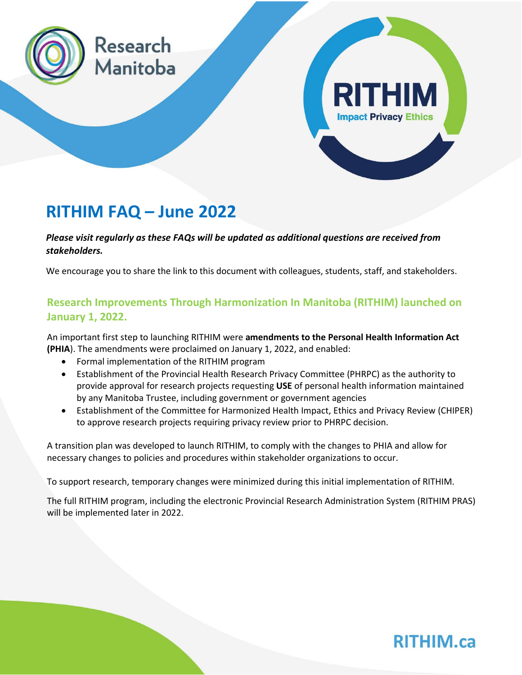

## **RITHIM FAQ – June 2022**

*Please visit regularly as these FAQs will be updated as additional questions are received from stakeholders.* 

We encourage you to share the link to this document with colleagues, students, staff, and stakeholders.

### **Research Improvements Through Harmonization In Manitoba (RITHIM) launched on January 1, 2022.**

An important first step to launching RITHIM were **amendments to the Personal Health Information Act (PHIA**). The amendments were proclaimed on January 1, 2022, and enabled:

- Formal implementation of the RITHIM program
- Establishment of the Provincial Health Research Privacy Committee (PHRPC) as the authority to provide approval for research projects requesting **USE** of personal health information maintained by any Manitoba Trustee, including government or government agencies
- Establishment of the Committee for Harmonized Health Impact, Ethics and Privacy Review (CHIPER) to approve research projects requiring privacy review prior to PHRPC decision.

A transition plan was developed to launch RITHIM, to comply with the changes to PHIA and allow for necessary changes to policies and procedures within stakeholder organizations to occur.

To support research, temporary changes were minimized during this initial implementation of RITHIM.

The full RITHIM program, including the electronic Provincial Research Administration System (RITHIM PRAS) will be implemented later in 2022.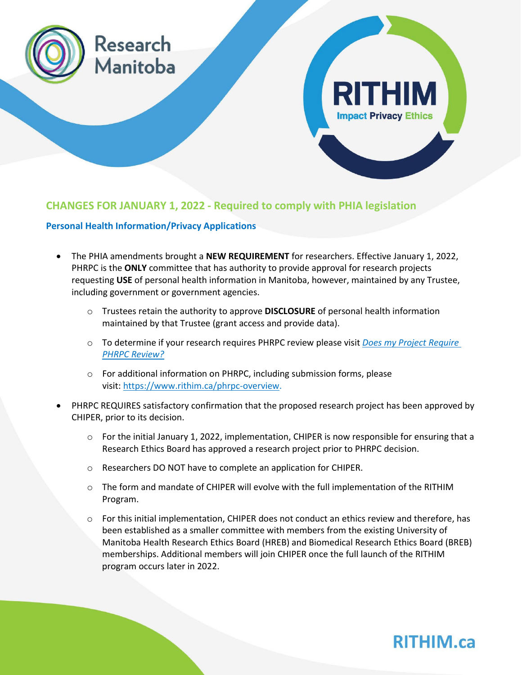

### **CHANGES FOR JANUARY 1, 2022 - Required to comply with PHIA legislation**

#### **Personal Health Information/Privacy Applications**

- The PHIA amendments brought a **NEW REQUIREMENT** for researchers. Effective January 1, 2022, PHRPC is the **ONLY** committee that has authority to provide approval for research projects requesting **USE** of personal health information in Manitoba, however, maintained by any Trustee, including government or government agencies.
	- o Trustees retain the authority to approve **DISCLOSURE** of personal health information maintained by that Trustee (grant access and provide data).
	- o To determine if your research requires PHRPC review please visit *Does my Project [Require](https://www.rithim.ca/does-my-project-require-phrpc-review) PHRPC [Review?](https://www.rithim.ca/does-my-project-require-phrpc-review)*
	- o For additional information on PHRPC, including submission forms, please visit: [https://www.rithim.ca/phrpc-overview.](https://www.rithim.ca/phrpc-overview)
- PHRPC REQUIRES satisfactory confirmation that the proposed research project has been approved by CHIPER, prior to its decision.
	- $\circ$  For the initial January 1, 2022, implementation, CHIPER is now responsible for ensuring that a Research Ethics Board has approved a research project prior to PHRPC decision.
	- o Researchers DO NOT have to complete an application for CHIPER.
	- o The form and mandate of CHIPER will evolve with the full implementation of the RITHIM Program.
	- $\circ$  For this initial implementation, CHIPER does not conduct an ethics review and therefore, has been established as a smaller committee with members from the existing University of Manitoba Health Research Ethics Board (HREB) and Biomedical Research Ethics Board (BREB) memberships. Additional members will join CHIPER once the full launch of the RITHIM program occurs later in 2022.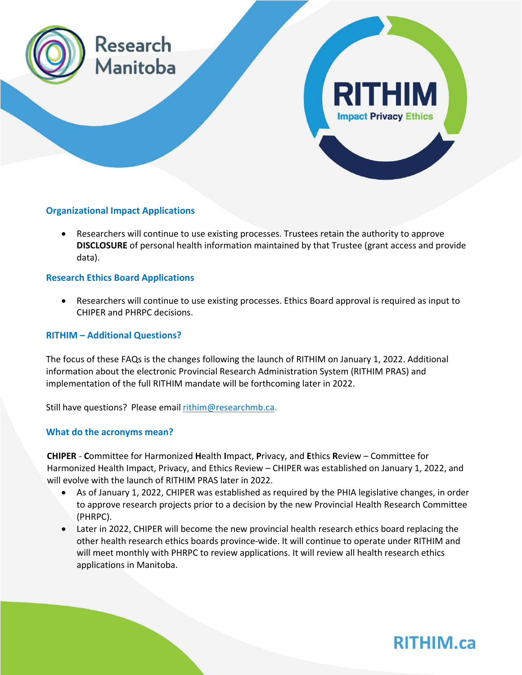

### **Organizational Impact Applications**

• Researchers will continue to use existing processes. Trustees retain the authority to approve **DISCLOSURE** of personal health information maintained by that Trustee (grant access and provide data).

### **Research Ethics Board Applications**

• Researchers will continue to use existing processes. Ethics Board approval is required as input to CHIPER and PHRPC decisions.

#### **RITHIM – Additional Questions?**

The focus of these FAQs is the changes following the launch of RITHIM on January 1, 2022. Additional information about the electronic Provincial Research Administration System (RITHIM PRAS) and implementation of the full RITHIM mandate will be forthcoming later in 2022.

Still have questions? Please email [rithim@researchmb.ca.](mailto:rithim@researchmb.ca)

### **What do the acronyms mean?**

**CHIPER** - **C**ommittee for Harmonized **H**ealth **I**mpact, **P**rivacy, and **E**thics **R**eview – Committee for Harmonized Health Impact, Privacy, and Ethics Review – CHIPER was established on January 1, 2022, and will evolve with the launch of RITHIM PRAS later in 2022.

- As of January 1, 2022, CHIPER was established as required by the PHIA legislative changes, in order to approve research projects prior to a decision by the new Provincial Health Research Committee (PHRPC).
- Later in 2022, CHIPER will become the new provincial health research ethics board replacing the other health research ethics boards province-wide. It will continue to operate under RITHIM and will meet monthly with PHRPC to review applications. It will review all health research ethics applications in Manitoba.

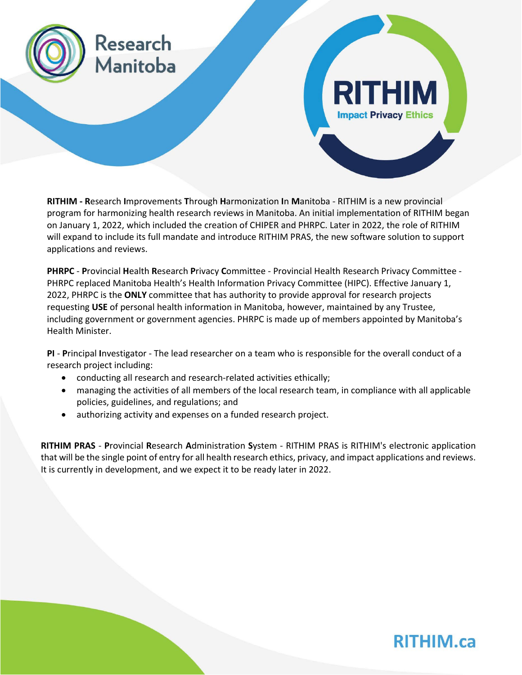

**RITHIM - R**esearch **I**mprovements **T**hrough **H**armonization **I**n **M**anitoba - RITHIM is a new provincial program for harmonizing health research reviews in Manitoba. An initial implementation of RITHIM began on January 1, 2022, which included the creation of CHIPER and PHRPC. Later in 2022, the role of RITHIM will expand to include its full mandate and introduce RITHIM PRAS, the new software solution to support applications and reviews.

**PHRPC** - **P**rovincial **H**ealth **R**esearch **P**rivacy **C**ommittee - Provincial Health Research Privacy Committee - PHRPC replaced Manitoba Health's Health Information Privacy Committee (HIPC). Effective January 1, 2022, PHRPC is the **ONLY** committee that has authority to provide approval for research projects requesting **USE** of personal health information in Manitoba, however, maintained by any Trustee, including government or government agencies. PHRPC is made up of members appointed by Manitoba's Health Minister.

**PI** - **P**rincipal **I**nvestigator - The lead researcher on a team who is responsible for the overall conduct of a research project including:

- conducting all research and research-related activities ethically;
- managing the activities of all members of the local research team, in compliance with all applicable policies, guidelines, and regulations; and
- authorizing activity and expenses on a funded research project.

**RITHIM PRAS** - **P**rovincial **R**esearch **A**dministration **S**ystem - RITHIM PRAS is RITHIM's electronic application that will be the single point of entry for all health research ethics, privacy, and impact applications and reviews. It is currently in development, and we expect it to be ready later in 2022.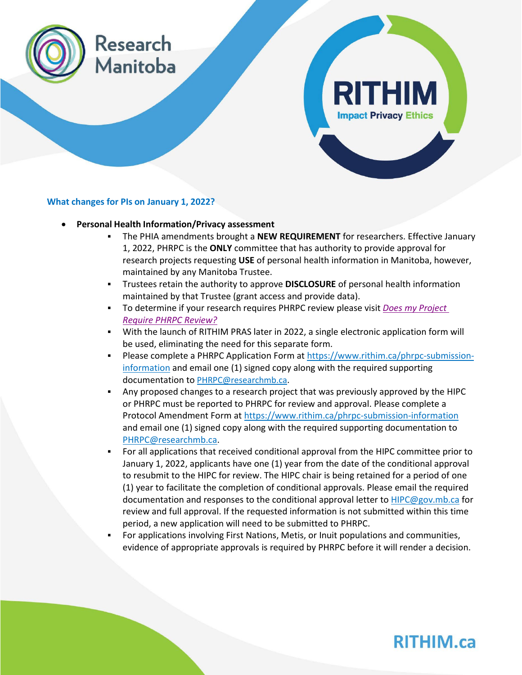

#### **What changes for PIs on January 1, 2022?**

- **Personal Health Information/Privacy assessment**
	- The PHIA amendments brought a **NEW REQUIREMENT** for researchers. Effective January 1, 2022, PHRPC is the **ONLY** committee that has authority to provide approval for research projects requesting **USE** of personal health information in Manitoba, however, maintained by any Manitoba Trustee.
	- Trustees retain the authority to approve **DISCLOSURE** of personal health information maintained by that Trustee (grant access and provide data).
	- To determine if your research requires PHRPC review please visit *[Does my Project](https://www.rithim.ca/does-my-project-require-phrpc-review)  [Require PHRPC Review?](https://www.rithim.ca/does-my-project-require-phrpc-review)*
	- With the launch of RITHIM PRAS later in 2022, a single electronic application form will be used, eliminating the need for this separate form.
	- **Please complete a PHRPC Application Form at [https://www.rithim.ca/phrpc-submission](https://www.rithim.ca/phrpc-submission-information)**[information](https://www.rithim.ca/phrpc-submission-information) and email one (1) signed copy along with the required supporting documentation to PHRPC@researchmb.ca.
	- Any proposed changes to a research project that was previously approved by the HIPC or PHRPC must be reported to PHRPC for review and approval. Please complete a Protocol Amendment Form at<https://www.rithim.ca/phrpc-submission-information> and email one (1) signed copy along with the required supporting documentation to PHRPC@researchmb.ca.
	- For all applications that received conditional approval from the HIPC committee prior to January 1, 2022, applicants have one (1) year from the date of the conditional approval to resubmit to the HIPC for review. The HIPC chair is being retained for a period of one (1) year to facilitate the completion of conditional approvals. Please email the required documentation and responses to the conditional approval letter to HIPC@gov.mb.ca for review and full approval. If the requested information is not submitted within this time period, a new application will need to be submitted to PHRPC.
	- For applications involving First Nations, Metis, or Inuit populations and communities, evidence of appropriate approvals is required by PHRPC before it will render a decision.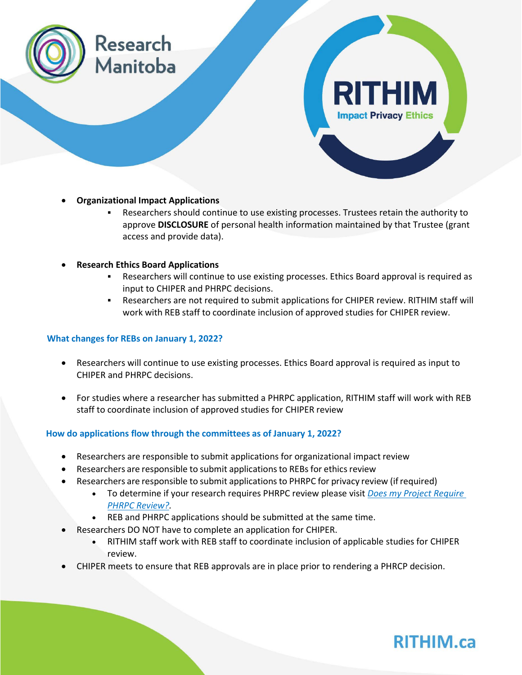

- **Organizational Impact Applications**
	- Researchers should continue to use existing processes. Trustees retain the authority to approve **DISCLOSURE** of personal health information maintained by that Trustee (grant access and provide data).
- **Research Ethics Board Applications**
	- Researchers will continue to use existing processes. Ethics Board approval is required as input to CHIPER and PHRPC decisions.
	- Researchers are not required to submit applications for CHIPER review. RITHIM staff will work with REB staff to coordinate inclusion of approved studies for CHIPER review.

### **What changes for REBs on January 1, 2022?**

- Researchers will continue to use existing processes. Ethics Board approval is required as input to CHIPER and PHRPC decisions.
- For studies where a researcher has submitted a PHRPC application, RITHIM staff will work with REB staff to coordinate inclusion of approved studies for CHIPER review

### **How do applications flow through the committees as of January 1, 2022?**

- Researchers are responsible to submit applications for organizational impact review
- Researchers are responsible to submit applications to REBs for ethics review
- Researchers are responsible to submit applicationsto PHRPC for privacy review (ifrequired)
	- To determine if your research requires PHRPC review please visit *[Does my Project Require](https://www.rithim.ca/does-my-project-require-phrpc-review)  [PHRPC Review?.](https://www.rithim.ca/does-my-project-require-phrpc-review)*
	- REB and PHRPC applications should be submitted at the same time.
- Researchers DO NOT have to complete an application for CHIPER.
	- RITHIM staff work with REB staff to coordinate inclusion of applicable studies for CHIPER review.
- CHIPER meets to ensure that REB approvals are in place prior to rendering a PHRCP decision.

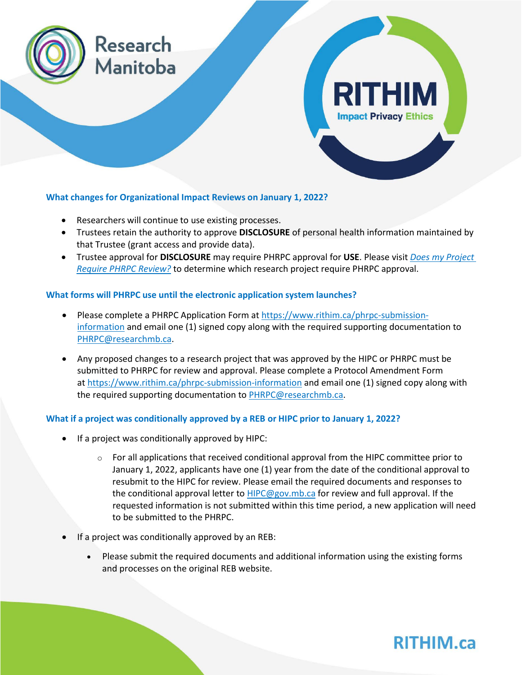

### **What changes for Organizational Impact Reviews on January 1, 2022?**

- Researchers will continue to use existing processes.
- Trustees retain the authority to approve **DISCLOSURE** of personal health information maintained by that Trustee (grant access and provide data).
- Trustee approval for **DISCLOSURE** may require PHRPC approval for **USE**. Please visit *[Does my Project](https://www.rithim.ca/does-my-project-require-phrpc-review)  [Require PHRPC Review?](https://www.rithim.ca/does-my-project-require-phrpc-review)* to determine which research project require PHRPC approval.

### **What forms will PHRPC use until the electronic application system launches?**

- Please complete a PHRPC Application Form at [https://www.rithim.ca/phrpc-submission](https://www.rithim.ca/phrpc-submission-information)[information](https://www.rithim.ca/phrpc-submission-information) and email one (1) signed copy along with the required supporting documentation to [PHRPC@researchmb.ca.](mailto:PHRPC@researchmb.ca)
- Any proposed changes to a research project that was approved by the HIPC or PHRPC must be submitted to PHRPC for review and approval. Please complete a Protocol Amendment Form at <https://www.rithim.ca/phrpc-submission-information> and email one (1) signed copy along with the required supporting documentation to [PHRPC@researchmb.ca.](mailto:PHRPC@researchmb.ca)

### **What if a project was conditionally approved by a REB or HIPC prior to January 1, 2022?**

- If a project was conditionally approved by HIPC:
	- $\circ$  For all applications that received conditional approval from the HIPC committee prior to January 1, 2022, applicants have one (1) year from the date of the conditional approval to resubmit to the HIPC for review. Please email the required documents and responses to the conditional approval letter to [HIPC@gov.mb.ca](mailto:HIPC@gov.mb.ca) for review and full approval. If the requested information is not submitted within this time period, a new application will need to be submitted to the PHRPC.
- If a project was conditionally approved by an REB:
	- Please submit the required documents and additional information using the existing forms and processes on the original REB website.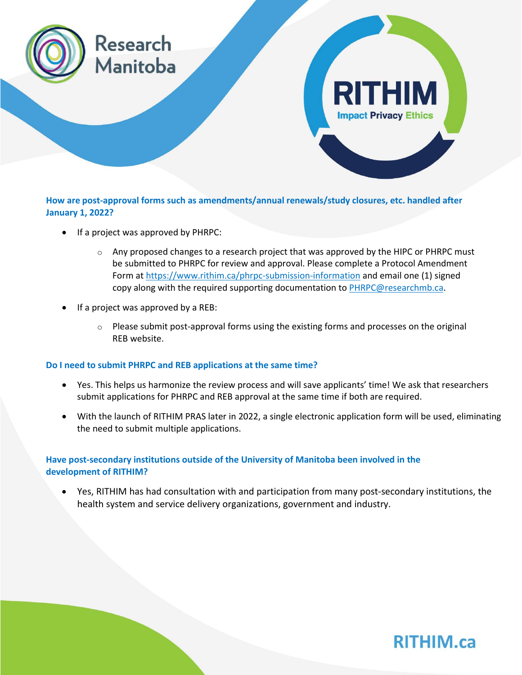

**How are post-approval forms such as amendments/annual renewals/study closures, etc. handled after January 1, 2022?**

- If a project was approved by PHRPC:
	- $\circ$  Any proposed changes to a research project that was approved by the HIPC or PHRPC must be submitted to PHRPC for review and approval. Please complete a Protocol Amendment Form at <https://www.rithim.ca/phrpc-submission-information> and email one (1) signed copy along with the required supporting documentation to [PHRPC@researchmb.ca.](mailto:PHRPC@researchmb.ca)
- If a project was approved by a REB:
	- $\circ$  Please submit post-approval forms using the existing forms and processes on the original REB website.

#### **Do I need to submit PHRPC and REB applications at the same time?**

- Yes. This helps us harmonize the review process and will save applicants' time! We ask that researchers submit applications for PHRPC and REB approval at the same time if both are required.
- With the launch of RITHIM PRAS later in 2022, a single electronic application form will be used, eliminating the need to submit multiple applications.

### **Have post-secondary institutions outside of the University of Manitoba been involved in the development of RITHIM?**

• Yes, RITHIM has had consultation with and participation from many post-secondary institutions, the health system and service delivery organizations, government and industry.